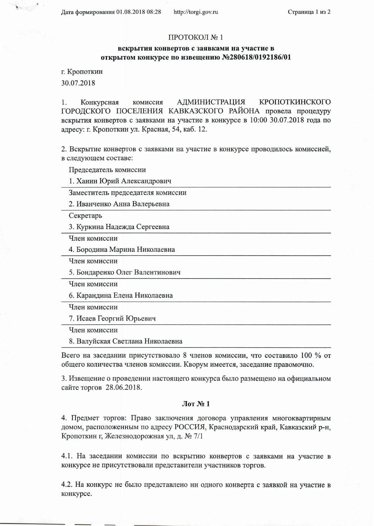Дата формирования 01.08.2018 08:28

## ПРОТОКОЛ №1

## вскрытия конвертов с заявками на участие в открытом конкурсе по извещению №280618/0192186/01

г. Кропоткин

30.07.2018

1. Конкурсная комиссия **АДМИНИСТРАЦИЯ** КРОПОТКИНСКОГО ГОРОДСКОГО ПОСЕЛЕНИЯ КАВКАЗСКОГО РАЙОНА провела процедуру вскрытия конвертов с заявками на участие в конкурсе в 10:00 30.07.2018 года по адресу: г. Кропоткин ул. Красная, 54, каб. 12.

2. Вскрытие конвертов с заявками на участие в конкурсе проводилось комиссией, в следующем составе:

Председатель комиссии

1. Ханин Юрий Александрович

Заместитель председателя комиссии

2. Иванченко Анна Валерьевна

Секретарь

3. Куркина Надежда Сергеевна

Член комиссии

4. Бородина Марина Николаевна

Член комиссии

5. Бондаренко Олег Валентинович

Член комиссии

6. Карандина Елена Николаевна

Член комиссии

7. Исаев Георгий Юрьевич

Член комиссии

8. Валуйская Светлана Николаевна

Всего на заседании присутствовало 8 членов комиссии, что составило 100 % от общего количества членов комиссии. Кворум имеется, заседание правомочно.

3. Извещение о проведении настоящего конкурса было размещено на официальном сайте торгов 28.06.2018.

## $\pi N_2 1$

4. Предмет торгов: Право заключения договора управления многоквартирным домом, расположенным по адресу РОССИЯ, Краснодарский край, Кавказский р-н, Кропоткин г, Железнодорожная ул, д. № 7/1

4.1. На заседании комиссии по вскрытию конвертов с заявками на участие в конкурсе не присутствовали представители участников торгов.

4.2. На конкурс не было представлено ни одного конверта с заявкой на участие в конкурсе.